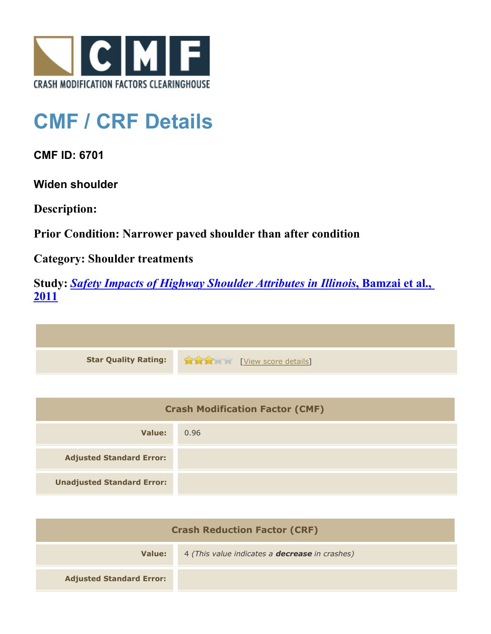

## **CMF / CRF Details**

**CMF ID: 6701**

**Widen shoulder**

**Description:** 

**Prior Condition: Narrower paved shoulder than after condition**

**Category: Shoulder treatments**

**Study:** *[Safety Impacts of Highway Shoulder Attributes in Illinois](http://www.cmfclearinghouse.org/study_detail.cfm?stid=404)***[, Bamzai et al.,](http://www.cmfclearinghouse.org/study_detail.cfm?stid=404) [2011](http://www.cmfclearinghouse.org/study_detail.cfm?stid=404)**

| Star Quality Rating: 1999 [View score details] |
|------------------------------------------------|

| <b>Crash Modification Factor (CMF)</b> |      |
|----------------------------------------|------|
| Value:                                 | 0.96 |
| <b>Adjusted Standard Error:</b>        |      |
| <b>Unadjusted Standard Error:</b>      |      |

| <b>Crash Reduction Factor (CRF)</b> |                                                       |
|-------------------------------------|-------------------------------------------------------|
| Value:                              | 4 (This value indicates a <b>decrease</b> in crashes) |
| <b>Adjusted Standard Error:</b>     |                                                       |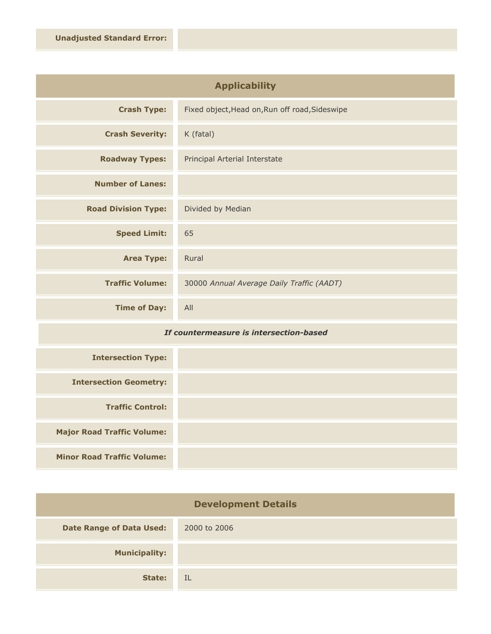| <b>Applicability</b>       |                                                |
|----------------------------|------------------------------------------------|
| <b>Crash Type:</b>         | Fixed object, Head on, Run off road, Sideswipe |
| <b>Crash Severity:</b>     | K (fatal)                                      |
| <b>Roadway Types:</b>      | Principal Arterial Interstate                  |
| <b>Number of Lanes:</b>    |                                                |
| <b>Road Division Type:</b> | Divided by Median                              |
| <b>Speed Limit:</b>        | 65                                             |
| <b>Area Type:</b>          | Rural                                          |
| <b>Traffic Volume:</b>     | 30000 Annual Average Daily Traffic (AADT)      |
| <b>Time of Day:</b>        | All                                            |

## *If countermeasure is intersection-based*

| <b>Intersection Type:</b>         |  |
|-----------------------------------|--|
| <b>Intersection Geometry:</b>     |  |
| <b>Traffic Control:</b>           |  |
| <b>Major Road Traffic Volume:</b> |  |
| <b>Minor Road Traffic Volume:</b> |  |

| <b>Development Details</b>      |              |
|---------------------------------|--------------|
| <b>Date Range of Data Used:</b> | 2000 to 2006 |
| <b>Municipality:</b>            |              |
| State:                          | IL           |